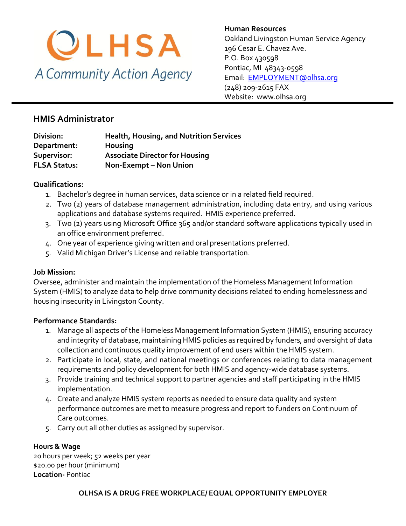

**Human Resources**  Oakland Livingston Human Service Agency 196 Cesar E. Chavez Ave. P.O. Box 430598 Pontiac, MI 48343-0598 [Email: EMPLOYMENT@olhsa.org](mailto:JamilaT@olhsa.org) (248) 209-2615 FAX Website: www.olhsa.org

# **HMIS Administrator**

| <b>Health, Housing, and Nutrition Services</b> |
|------------------------------------------------|
|                                                |
| <b>Associate Director for Housing</b>          |
| Non-Exempt - Non Union                         |
|                                                |

### **Qualifications:**

- 1. Bachelor's degree in human services, data science or in a related field required.
- 2. Two (2) years of database management administration, including data entry, and using various applications and database systems required. HMIS experience preferred.
- 3. Two (2) years using Microsoft Office 365 and/or standard software applications typically used in an office environment preferred.
- 4. One year of experience giving written and oral presentations preferred.
- 5. Valid Michigan Driver's License and reliable transportation.

#### **Job Mission:**

Oversee, administer and maintain the implementation of the Homeless Management Information System (HMIS) to analyze data to help drive community decisions related to ending homelessness and housing insecurity in Livingston County.

#### **Performance Standards:**

- 1. Manage all aspects of the Homeless Management Information System (HMIS), ensuring accuracy and integrity of database, maintaining HMIS policies as required by funders, and oversight of data collection and continuous quality improvement of end users within the HMIS system.
- 2. Participate in local, state, and national meetings or conferences relating to data management requirements and policy development for both HMIS and agency-wide database systems.
- 3. Provide training and technical support to partner agencies and staff participating in the HMIS implementation.
- 4. Create and analyze HMIS system reports as needed to ensure data quality and system performance outcomes are met to measure progress and report to funders on Continuum of Care outcomes.
- 5. Carry out all other duties as assigned by supervisor.

#### **Hours & Wage**

20 hours per week; 52 weeks per year \$20.00 per hour (minimum) **Location-** Pontiac